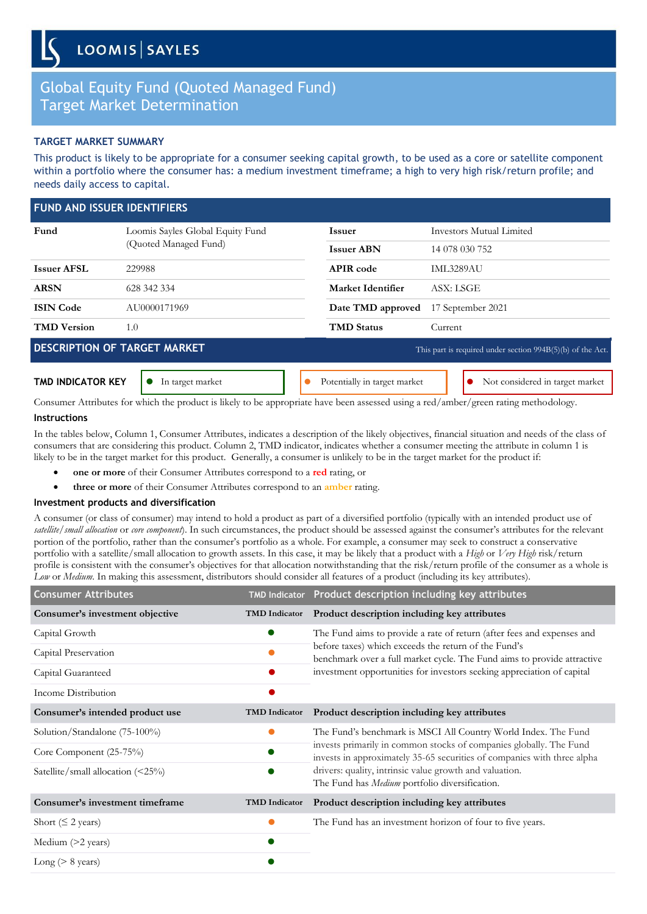# Global Equity Fund (Quoted Managed Fund) Target Market Determination

## **TARGET MARKET SUMMARY**

This product is likely to be appropriate for a consumer seeking capital growth, to be used as a core or satellite component within a portfolio where the consumer has: a medium investment timeframe; a high to very high risk/return profile; and needs daily access to capital.

| <b>FUND AND ISSUER IDENTIFIERS</b> |                                                           |                              |                                                              |
|------------------------------------|-----------------------------------------------------------|------------------------------|--------------------------------------------------------------|
| Fund                               | Loomis Sayles Global Equity Fund<br>(Quoted Managed Fund) | <b>Issuer</b>                | Investors Mutual Limited                                     |
|                                    |                                                           | <b>Issuer ABN</b>            | 14 078 030 752                                               |
| <b>Issuer AFSL</b>                 | 229988                                                    | <b>APIR</b> code             | <b>IML3289AU</b>                                             |
| <b>ARSN</b>                        | 628 342 334                                               | Market Identifier            | ASX: LSGE                                                    |
| <b>ISIN Code</b>                   | AU0000171969                                              | Date TMD approved            | 17 September 2021                                            |
| <b>TMD</b> Version                 | 1.0                                                       | <b>TMD Status</b>            | Current                                                      |
|                                    | <b>DESCRIPTION OF TARGET MARKET</b>                       |                              | This part is required under section $994B(5)(b)$ of the Act. |
| <b>TMD INDICATOR KEY</b>           | In target market                                          | Potentially in target market | Not considered in target market                              |

Consumer Attributes for which the product is likely to be appropriate have been assessed using a red/amber/green rating methodology.

### **Instructions**

In the tables below, Column 1, Consumer Attributes, indicates a description of the likely objectives, financial situation and needs of the class of consumers that are considering this product. Column 2, TMD indicator, indicates whether a consumer meeting the attribute in column 1 is likely to be in the target market for this product. Generally, a consumer is unlikely to be in the target market for the product if:

- **one or more** of their Consumer Attributes correspond to a **red** rating, or
- **three or more** of their Consumer Attributes correspond to an **amber** rating.

## **Investment products and diversification**

A consumer (or class of consumer) may intend to hold a product as part of a diversified portfolio (typically with an intended product use of *satellite/small allocation* or *core component*). In such circumstances, the product should be assessed against the consumer's attributes for the relevant portion of the portfolio, rather than the consumer's portfolio as a whole. For example, a consumer may seek to construct a conservative portfolio with a satellite/small allocation to growth assets. In this case, it may be likely that a product with a *High* or *Very High* risk/return profile is consistent with the consumer's objectives for that allocation notwithstanding that the risk/return profile of the consumer as a whole is *Low* or *Medium*. In making this assessment, distributors should consider all features of a product (including its key attributes).

| <b>Consumer Attributes</b>      |                      | TMD Indicator Product description including key attributes                                                                                                                                                                                                                          |  |
|---------------------------------|----------------------|-------------------------------------------------------------------------------------------------------------------------------------------------------------------------------------------------------------------------------------------------------------------------------------|--|
| Consumer's investment objective | <b>TMD</b> Indicator | Product description including key attributes                                                                                                                                                                                                                                        |  |
| Capital Growth                  |                      | The Fund aims to provide a rate of return (after fees and expenses and<br>before taxes) which exceeds the return of the Fund's<br>benchmark over a full market cycle. The Fund aims to provide attractive<br>investment opportunities for investors seeking appreciation of capital |  |
| Capital Preservation            |                      |                                                                                                                                                                                                                                                                                     |  |
| Capital Guaranteed              |                      |                                                                                                                                                                                                                                                                                     |  |
| Income Distribution             |                      |                                                                                                                                                                                                                                                                                     |  |
| Consumer's intended product use | <b>TMD</b> Indicator | Product description including key attributes                                                                                                                                                                                                                                        |  |
| Solution/Standalone (75-100%)   |                      | The Fund's benchmark is MSCI All Country World Index. The Fund                                                                                                                                                                                                                      |  |
| Core Component (25-75%)         |                      | invests primarily in common stocks of companies globally. The Fund<br>invests in approximately 35-65 securities of companies with three alpha<br>drivers: quality, intrinsic value growth and valuation.<br>The Fund has Medium portfolio diversification.                          |  |
| Satellite/small allocation $($  |                      |                                                                                                                                                                                                                                                                                     |  |
| Consumer's investment timeframe | <b>TMD</b> Indicator | Product description including key attributes                                                                                                                                                                                                                                        |  |
| Short ( $\leq$ 2 years)         |                      | The Fund has an investment horizon of four to five years.                                                                                                                                                                                                                           |  |
| Medium (>2 years)               |                      |                                                                                                                                                                                                                                                                                     |  |
| Long ( $> 8$ years)             |                      |                                                                                                                                                                                                                                                                                     |  |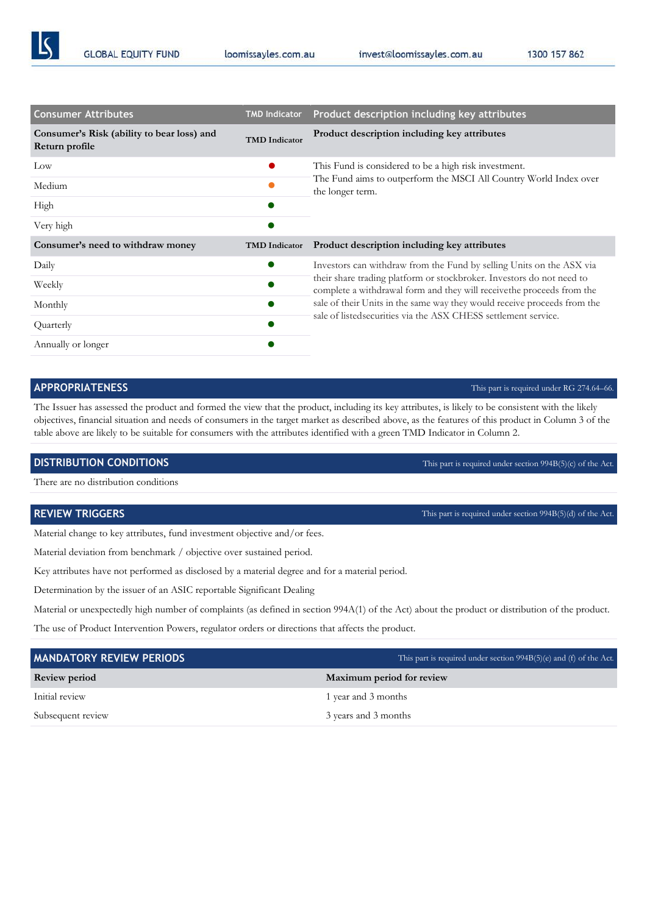loomissayles.com.au

invest@loomissayles.com.au

| <b>Consumer Attributes</b>                                   | <b>TMD Indicator</b> | Product description including key attributes                                                                                                                                                                                |  |
|--------------------------------------------------------------|----------------------|-----------------------------------------------------------------------------------------------------------------------------------------------------------------------------------------------------------------------------|--|
| Consumer's Risk (ability to bear loss) and<br>Return profile | <b>TMD</b> Indicator | Product description including key attributes                                                                                                                                                                                |  |
| Low                                                          |                      | This Fund is considered to be a high risk investment.                                                                                                                                                                       |  |
| Medium                                                       |                      | The Fund aims to outperform the MSCI All Country World Index over<br>the longer term.                                                                                                                                       |  |
| High                                                         |                      |                                                                                                                                                                                                                             |  |
| Very high                                                    |                      |                                                                                                                                                                                                                             |  |
| Consumer's need to withdraw money                            | <b>TMD</b> Indicator | Product description including key attributes                                                                                                                                                                                |  |
| Daily                                                        | $\bullet$            | Investors can withdraw from the Fund by selling Units on the ASX via                                                                                                                                                        |  |
| Weekly                                                       |                      | their share trading platform or stockbroker. Investors do not need to<br>complete a withdrawal form and they will receive the proceeds from the<br>sale of their Units in the same way they would receive proceeds from the |  |
| Monthly                                                      |                      |                                                                                                                                                                                                                             |  |
| Quarterly                                                    |                      | sale of listed securities via the ASX CHESS settlement service.                                                                                                                                                             |  |
| Annually or longer                                           |                      |                                                                                                                                                                                                                             |  |

The Issuer has assessed the product and formed the view that the product, including its key attributes, is likely to be consistent with the likely objectives, financial situation and needs of consumers in the target market as described above, as the features of this product in Column 3 of the table above are likely to be suitable for consumers with the attributes identified with a green TMD Indicator in Column 2.

There are no distribution conditions

Material change to key attributes, fund investment objective and/or fees.

Material deviation from benchmark / objective over sustained period.

Key attributes have not performed as disclosed by a material degree and for a material period.

Determination by the issuer of an ASIC reportable Significant Dealing

Material or unexpectedly high number of complaints (as defined in section 994A(1) of the Act) about the product or distribution of the product.

The use of Product Intervention Powers, regulator orders or directions that affects the product.

| <b>MANDATORY REVIEW PERIODS</b> | This part is required under section $994B(5)(e)$ and (f) of the Act. |
|---------------------------------|----------------------------------------------------------------------|
| <b>Review period</b>            | Maximum period for review                                            |
| Initial review                  | 1 year and 3 months                                                  |
| Subsequent review               | 3 years and 3 months                                                 |

# **APPROPRIATENESS** This part is required under RG 274.64–66*.* **This part is required under RG 274.64–66**.

**DISTRIBUTION CONDITIONS** This part is required under section 994B(5)(c) of the Act*.*

**REVIEW TRIGGERS** This part is required under section 994B(5)(d) of the Act.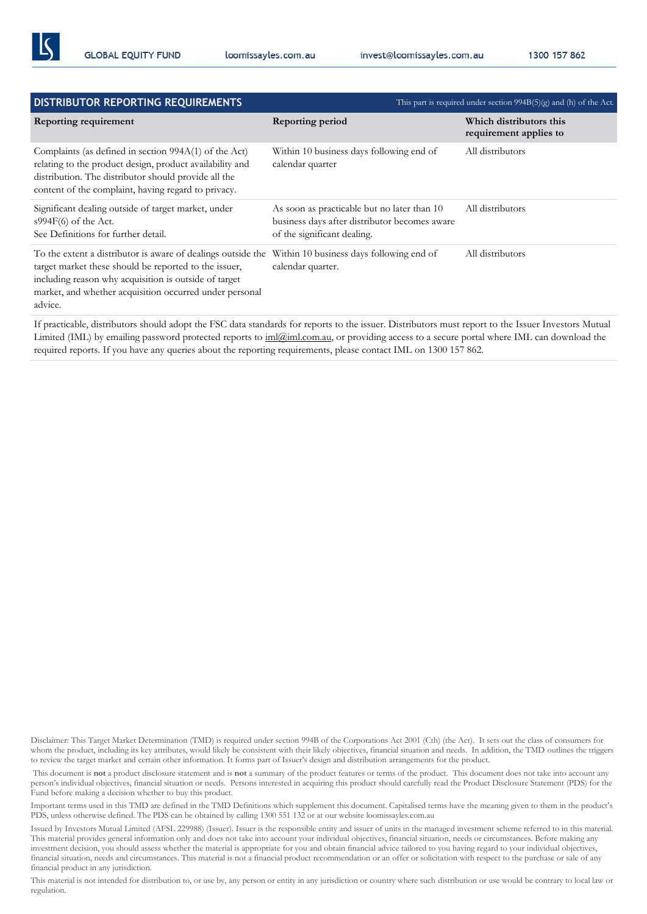| DISTRIBUTOR REPORTING REQUIREMENTS                                                                                                                                                                                                                   |                                                                                                                             | This part is required under section $994B(5)(g)$ and (h) of the Act. |
|------------------------------------------------------------------------------------------------------------------------------------------------------------------------------------------------------------------------------------------------------|-----------------------------------------------------------------------------------------------------------------------------|----------------------------------------------------------------------|
| Reporting requirement                                                                                                                                                                                                                                | Reporting period                                                                                                            | Which distributors this<br>requirement applies to                    |
| Complaints (as defined in section 994A(1) of the Act)<br>relating to the product design, product availability and<br>distribution. The distributor should provide all the<br>content of the complaint, having regard to privacy.                     | Within 10 business days following end of<br>calendar quarter                                                                | All distributors                                                     |
| Significant dealing outside of target market, under<br>$s994F(6)$ of the Act.<br>See Definitions for further detail.                                                                                                                                 | As soon as practicable but no later than 10<br>business days after distributor becomes aware<br>of the significant dealing. | All distributors                                                     |
| To the extent a distributor is aware of dealings outside the<br>target market these should be reported to the issuer,<br>including reason why acquisition is outside of target<br>market, and whether acquisition occurred under personal<br>advice. | Within 10 business days following end of<br>calendar quarter.                                                               | All distributors                                                     |

If practicable, distributors should adopt the FSC data standards for reports to the issuer. Distributors must report to the Issuer Investors Mutual Limited (IML) by emailing password protected reports to [iml@iml.com.au,](mailto:iml@iml.com.au) or providing access to a secure portal where IML can download the required reports. If you have any queries about the reporting requirements, please contact IML on 1300 157 862.

Disclaimer: This Target Market Determination (TMD) is required under section 994B of the Corporations Act 2001 (Cth) (the Act). It sets out the class of consumers for whom the product, including its key attributes, would likely be consistent with their likely objectives, financial situation and needs. In addition, the TMD outlines the triggers to review the target market and certain other information. It forms part of Issuer's design and distribution arrangements for the product.

This document is **not** a product disclosure statement and is **not** a summary of the product features or terms of the product. This document does not take into account any person's individual objectives, financial situation or needs. Persons interested in acquiring this product should carefully read the Product Disclosure Statement (PDS) for the Fund before making a decision whether to buy this product.

Important terms used in this TMD are defined in the TMD Definitions which supplement this document. Capitalised terms have the meaning given to them in the product's PDS, unless otherwise defined. The PDS can be obtained by calling 1300 551 132 or at our website loomissayles.com.au

Issued by Investors Mutual Limited (AFSL 229988) (Issuer). Issuer is the responsible entity and issuer of units in the managed investment scheme referred to in this material. This material provides general information only and does not take into account your individual objectives, financial situation, needs or circumstances. Before making any investment decision, you should assess whether the material is appropriate for you and obtain financial advice tailored to you having regard to your individual objectives, financial situation, needs and circumstances. This material is not a financial product recommendation or an offer or solicitation with respect to the purchase or sale of any financial product in any jurisdiction.

This material is not intended for distribution to, or use by, any person or entity in any jurisdiction or country where such distribution or use would be contrary to local law or regulation.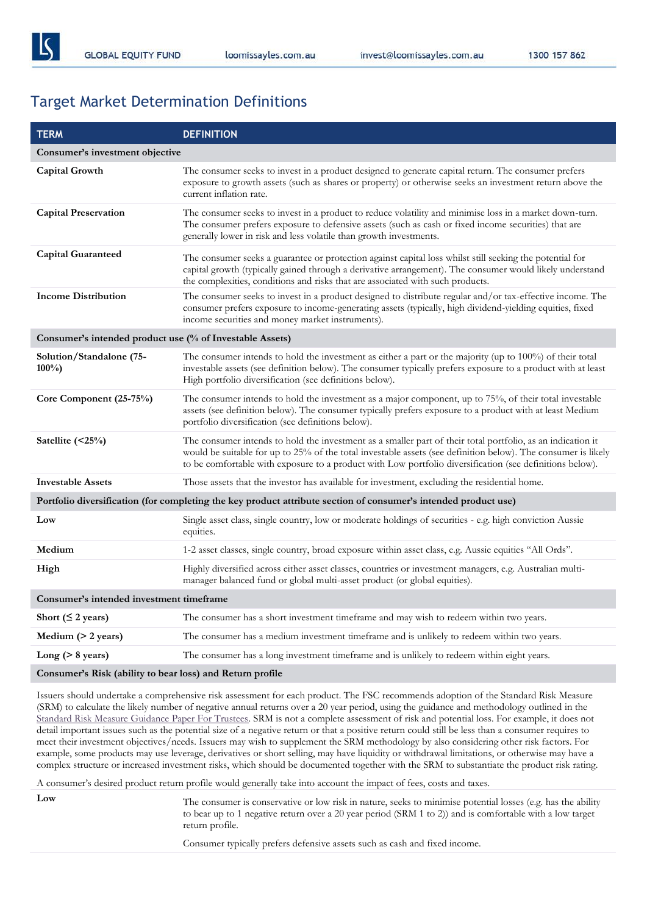1300 157 862

# Target Market Determination Definitions

| <b>TERM</b>                                               | <b>DEFINITION</b>                                                                                                                                                                                                                                                                                                                        |  |
|-----------------------------------------------------------|------------------------------------------------------------------------------------------------------------------------------------------------------------------------------------------------------------------------------------------------------------------------------------------------------------------------------------------|--|
| Consumer's investment objective                           |                                                                                                                                                                                                                                                                                                                                          |  |
| <b>Capital Growth</b>                                     | The consumer seeks to invest in a product designed to generate capital return. The consumer prefers<br>exposure to growth assets (such as shares or property) or otherwise seeks an investment return above the<br>current inflation rate.                                                                                               |  |
| <b>Capital Preservation</b>                               | The consumer seeks to invest in a product to reduce volatility and minimise loss in a market down-turn.<br>The consumer prefers exposure to defensive assets (such as cash or fixed income securities) that are<br>generally lower in risk and less volatile than growth investments.                                                    |  |
| <b>Capital Guaranteed</b>                                 | The consumer seeks a guarantee or protection against capital loss whilst still seeking the potential for<br>capital growth (typically gained through a derivative arrangement). The consumer would likely understand<br>the complexities, conditions and risks that are associated with such products.                                   |  |
| <b>Income Distribution</b>                                | The consumer seeks to invest in a product designed to distribute regular and/or tax-effective income. The<br>consumer prefers exposure to income-generating assets (typically, high dividend-yielding equities, fixed<br>income securities and money market instruments).                                                                |  |
| Consumer's intended product use (% of Investable Assets)  |                                                                                                                                                                                                                                                                                                                                          |  |
| Solution/Standalone (75-<br>$100\%$                       | The consumer intends to hold the investment as either a part or the majority (up to $100\%$ ) of their total<br>investable assets (see definition below). The consumer typically prefers exposure to a product with at least<br>High portfolio diversification (see definitions below).                                                  |  |
| Core Component (25-75%)                                   | The consumer intends to hold the investment as a major component, up to 75%, of their total investable<br>assets (see definition below). The consumer typically prefers exposure to a product with at least Medium<br>portfolio diversification (see definitions below).                                                                 |  |
| Satellite (<25%)                                          | The consumer intends to hold the investment as a smaller part of their total portfolio, as an indication it<br>would be suitable for up to 25% of the total investable assets (see definition below). The consumer is likely<br>to be comfortable with exposure to a product with Low portfolio diversification (see definitions below). |  |
| <b>Investable Assets</b>                                  | Those assets that the investor has available for investment, excluding the residential home.                                                                                                                                                                                                                                             |  |
|                                                           | Portfolio diversification (for completing the key product attribute section of consumer's intended product use)                                                                                                                                                                                                                          |  |
| Low                                                       | Single asset class, single country, low or moderate holdings of securities - e.g. high conviction Aussie<br>equities.                                                                                                                                                                                                                    |  |
| Medium                                                    | 1-2 asset classes, single country, broad exposure within asset class, e.g. Aussie equities "All Ords".                                                                                                                                                                                                                                   |  |
| High                                                      | Highly diversified across either asset classes, countries or investment managers, e.g. Australian multi-<br>manager balanced fund or global multi-asset product (or global equities).                                                                                                                                                    |  |
| Consumer's intended investment timeframe                  |                                                                                                                                                                                                                                                                                                                                          |  |
| Short ( $\leq$ 2 years)                                   | The consumer has a short investment timeframe and may wish to redeem within two years.                                                                                                                                                                                                                                                   |  |
| Medium $(> 2 \text{ years})$                              | The consumer has a medium investment timeframe and is unlikely to redeem within two years.                                                                                                                                                                                                                                               |  |
| Long ( $> 8$ years)                                       | The consumer has a long investment timeframe and is unlikely to redeem within eight years.                                                                                                                                                                                                                                               |  |
| Consumer's Risk (ability to bear loss) and Return profile |                                                                                                                                                                                                                                                                                                                                          |  |

Issuers should undertake a comprehensive risk assessment for each product. The FSC recommends adoption of the Standard Risk Measure (SRM) to calculate the likely number of negative annual returns over a 20 year period, using the guidance and methodology outlined in the [Standard Risk Measure Guidance Paper For Trustees.](https://protect-eu.mimecast.com/s/pqPaCwVNmtGRQpvMFVpVgu?domain=urldefense.com) SRM is not a complete assessment of risk and potential loss. For example, it does not detail important issues such as the potential size of a negative return or that a positive return could still be less than a consumer requires to meet their investment objectives/needs. Issuers may wish to supplement the SRM methodology by also considering other risk factors. For example, some products may use leverage, derivatives or short selling, may have liquidity or withdrawal limitations, or otherwise may have a complex structure or increased investment risks, which should be documented together with the SRM to substantiate the product risk rating.

A consumer's desired product return profile would generally take into account the impact of fees, costs and taxes.

Low The consumer is conservative or low risk in nature, seeks to minimise potential losses (e.g. has the ability to bear up to 1 negative return over a 20 year period (SRM 1 to 2)) and is comfortable with a low target return profile.

Consumer typically prefers defensive assets such as cash and fixed income.